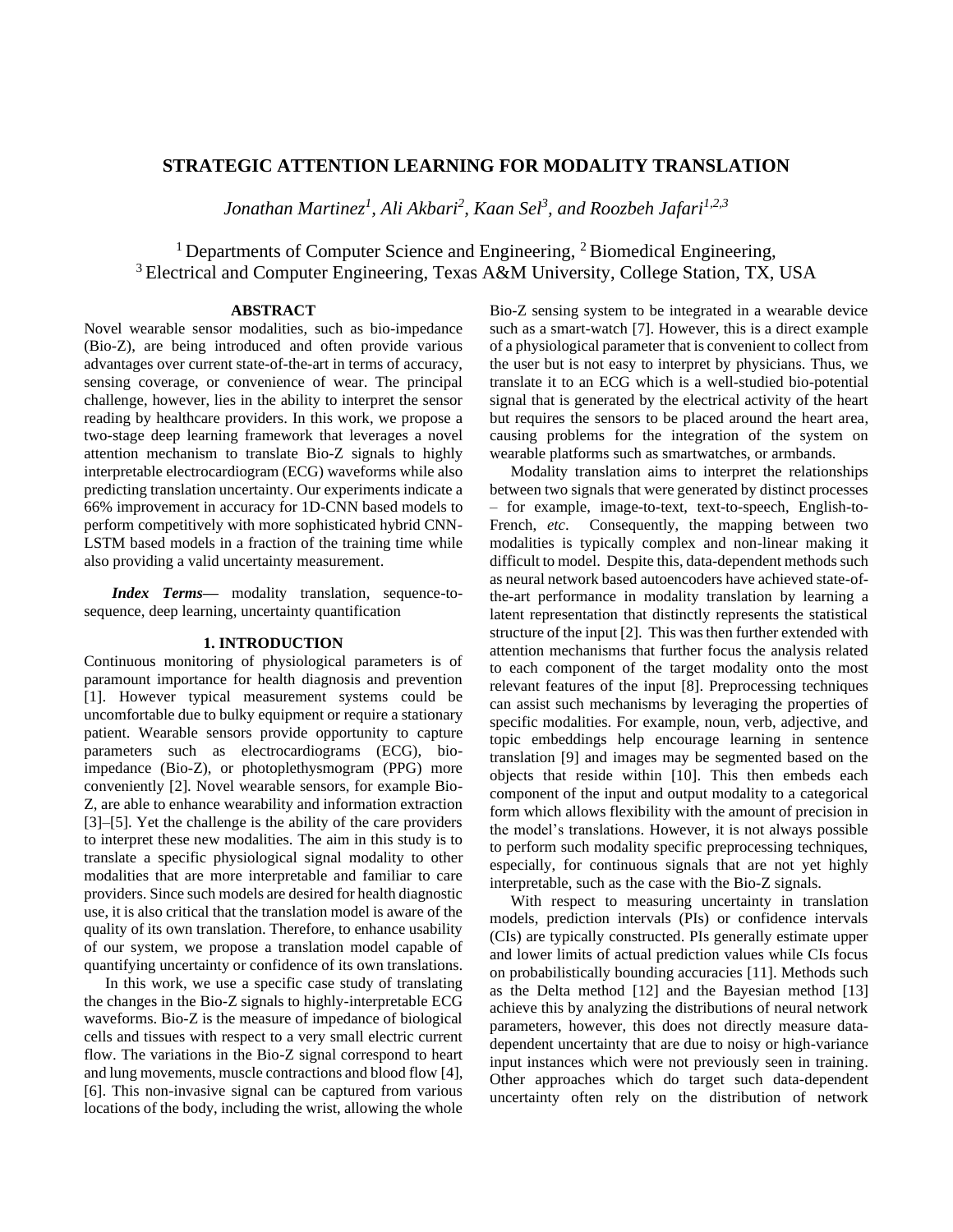# **STRATEGIC ATTENTION LEARNING FOR MODALITY TRANSLATION**

*Jonathan Martinez<sup>1</sup> , Ali Akbari<sup>2</sup> , Kaan Sel<sup>3</sup> , and Roozbeh Jafari1,2,3*

<sup>1</sup> Departments of Computer Science and Engineering,  ${}^{2}$  Biomedical Engineering, <sup>3</sup> Electrical and Computer Engineering, Texas A&M University, College Station, TX, USA

## **ABSTRACT**

Novel wearable sensor modalities, such as bio-impedance (Bio-Z), are being introduced and often provide various advantages over current state-of-the-art in terms of accuracy, sensing coverage, or convenience of wear. The principal challenge, however, lies in the ability to interpret the sensor reading by healthcare providers. In this work, we propose a two-stage deep learning framework that leverages a novel attention mechanism to translate Bio-Z signals to highly interpretable electrocardiogram (ECG) waveforms while also predicting translation uncertainty. Our experiments indicate a 66% improvement in accuracy for 1D-CNN based models to perform competitively with more sophisticated hybrid CNN-LSTM based models in a fraction of the training time while also providing a valid uncertainty measurement.

*Index Terms—* modality translation, sequence-tosequence, deep learning, uncertainty quantification

# **1. INTRODUCTION**

Continuous monitoring of physiological parameters is of paramount importance for health diagnosis and prevention [1]. However typical measurement systems could be uncomfortable due to bulky equipment or require a stationary patient. Wearable sensors provide opportunity to capture parameters such as electrocardiograms (ECG), bioimpedance (Bio-Z), or photoplethysmogram (PPG) more conveniently [2]. Novel wearable sensors, for example Bio-Z, are able to enhance wearability and information extraction [3]–[5]. Yet the challenge is the ability of the care providers to interpret these new modalities. The aim in this study is to translate a specific physiological signal modality to other modalities that are more interpretable and familiar to care providers. Since such models are desired for health diagnostic use, it is also critical that the translation model is aware of the quality of its own translation. Therefore, to enhance usability of our system, we propose a translation model capable of quantifying uncertainty or confidence of its own translations.

In this work, we use a specific case study of translating the changes in the Bio-Z signals to highly-interpretable ECG waveforms. Bio-Z is the measure of impedance of biological cells and tissues with respect to a very small electric current flow. The variations in the Bio-Z signal correspond to heart and lung movements, muscle contractions and blood flow [4], [6]. This non-invasive signal can be captured from various locations of the body, including the wrist, allowing the whole

Bio-Z sensing system to be integrated in a wearable device such as a smart-watch [7]. However, this is a direct example of a physiological parameter that is convenient to collect from the user but is not easy to interpret by physicians. Thus, we translate it to an ECG which is a well-studied bio-potential signal that is generated by the electrical activity of the heart but requires the sensors to be placed around the heart area, causing problems for the integration of the system on wearable platforms such as smartwatches, or armbands.

Modality translation aims to interpret the relationships between two signals that were generated by distinct processes – for example, image-to-text, text-to-speech, English-to-French, *etc*. Consequently, the mapping between two modalities is typically complex and non-linear making it difficult to model. Despite this, data-dependent methods such as neural network based autoencoders have achieved state-ofthe-art performance in modality translation by learning a latent representation that distinctly represents the statistical structure of the input [2]. This was then further extended with attention mechanisms that further focus the analysis related to each component of the target modality onto the most relevant features of the input [8]. Preprocessing techniques can assist such mechanisms by leveraging the properties of specific modalities. For example, noun, verb, adjective, and topic embeddings help encourage learning in sentence translation [9] and images may be segmented based on the objects that reside within [10]. This then embeds each component of the input and output modality to a categorical form which allows flexibility with the amount of precision in the model's translations. However, it is not always possible to perform such modality specific preprocessing techniques, especially, for continuous signals that are not yet highly interpretable, such as the case with the Bio-Z signals.

With respect to measuring uncertainty in translation models, prediction intervals (PIs) or confidence intervals (CIs) are typically constructed. PIs generally estimate upper and lower limits of actual prediction values while CIs focus on probabilistically bounding accuracies [11]. Methods such as the Delta method [12] and the Bayesian method [13] achieve this by analyzing the distributions of neural network parameters, however, this does not directly measure datadependent uncertainty that are due to noisy or high-variance input instances which were not previously seen in training. Other approaches which do target such data-dependent uncertainty often rely on the distribution of network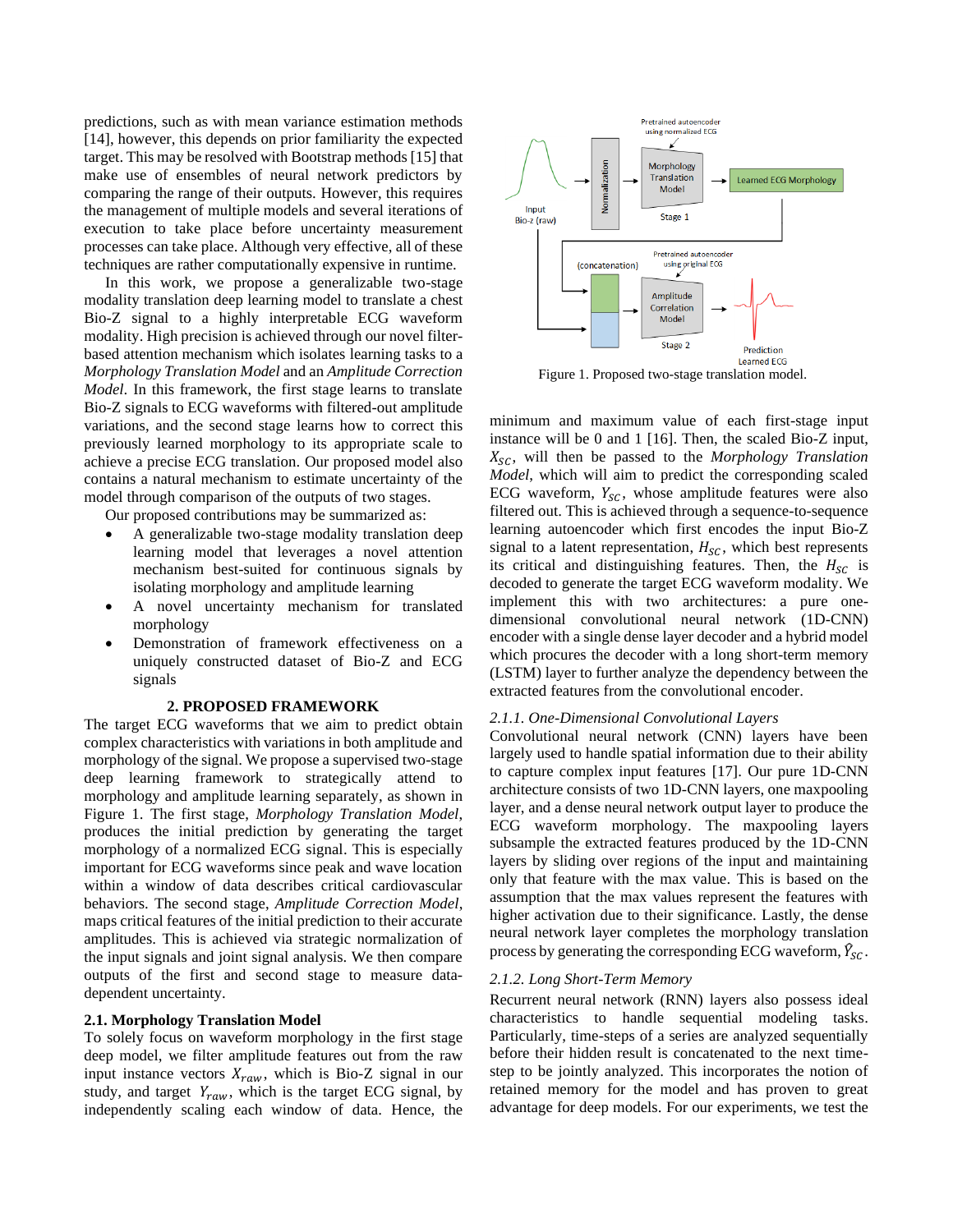predictions, such as with mean variance estimation methods [14], however, this depends on prior familiarity the expected target. This may be resolved with Bootstrap methods [15] that make use of ensembles of neural network predictors by comparing the range of their outputs. However, this requires the management of multiple models and several iterations of execution to take place before uncertainty measurement processes can take place. Although very effective, all of these techniques are rather computationally expensive in runtime.

In this work, we propose a generalizable two-stage modality translation deep learning model to translate a chest Bio-Z signal to a highly interpretable ECG waveform modality. High precision is achieved through our novel filterbased attention mechanism which isolates learning tasks to a *Morphology Translation Model* and an *Amplitude Correction Model*. In this framework, the first stage learns to translate Bio-Z signals to ECG waveforms with filtered-out amplitude variations, and the second stage learns how to correct this previously learned morphology to its appropriate scale to achieve a precise ECG translation. Our proposed model also contains a natural mechanism to estimate uncertainty of the model through comparison of the outputs of two stages.

Our proposed contributions may be summarized as:

- A generalizable two-stage modality translation deep learning model that leverages a novel attention mechanism best-suited for continuous signals by isolating morphology and amplitude learning
- A novel uncertainty mechanism for translated morphology
- Demonstration of framework effectiveness on a uniquely constructed dataset of Bio-Z and ECG signals

### **2. PROPOSED FRAMEWORK**

The target ECG waveforms that we aim to predict obtain complex characteristics with variations in both amplitude and morphology of the signal. We propose a supervised two-stage deep learning framework to strategically attend to morphology and amplitude learning separately, as shown in Figure 1. The first stage, *Morphology Translation Model*, produces the initial prediction by generating the target morphology of a normalized ECG signal. This is especially important for ECG waveforms since peak and wave location within a window of data describes critical cardiovascular behaviors. The second stage, *Amplitude Correction Model*, maps critical features of the initial prediction to their accurate amplitudes. This is achieved via strategic normalization of the input signals and joint signal analysis. We then compare outputs of the first and second stage to measure datadependent uncertainty.

## **2.1. Morphology Translation Model**

To solely focus on waveform morphology in the first stage deep model, we filter amplitude features out from the raw input instance vectors  $X_{raw}$ , which is Bio-Z signal in our study, and target  $Y_{raw}$ , which is the target ECG signal, by independently scaling each window of data. Hence, the



Figure 1. Proposed two-stage translation model.

minimum and maximum value of each first-stage input instance will be 0 and 1 [16]. Then, the scaled Bio-Z input, , will then be passed to the *Morphology Translation Model*, which will aim to predict the corresponding scaled ECG waveform,  $Y_{SC}$ , whose amplitude features were also filtered out. This is achieved through a sequence-to-sequence learning autoencoder which first encodes the input Bio-Z signal to a latent representation,  $H_{SC}$ , which best represents its critical and distinguishing features. Then, the  $H_{SC}$  is decoded to generate the target ECG waveform modality. We implement this with two architectures: a pure onedimensional convolutional neural network (1D-CNN) encoder with a single dense layer decoder and a hybrid model which procures the decoder with a long short-term memory (LSTM) layer to further analyze the dependency between the extracted features from the convolutional encoder.

## *2.1.1. One-Dimensional Convolutional Layers*

Convolutional neural network (CNN) layers have been largely used to handle spatial information due to their ability to capture complex input features [17]. Our pure 1D-CNN architecture consists of two 1D-CNN layers, one maxpooling layer, and a dense neural network output layer to produce the ECG waveform morphology. The maxpooling layers subsample the extracted features produced by the 1D-CNN layers by sliding over regions of the input and maintaining only that feature with the max value. This is based on the assumption that the max values represent the features with higher activation due to their significance. Lastly, the dense neural network layer completes the morphology translation process by generating the corresponding ECG waveform,  $\hat{Y}_{\text{SC}}$ .

## *2.1.2. Long Short-Term Memory*

Recurrent neural network (RNN) layers also possess ideal characteristics to handle sequential modeling tasks. Particularly, time-steps of a series are analyzed sequentially before their hidden result is concatenated to the next timestep to be jointly analyzed. This incorporates the notion of retained memory for the model and has proven to great advantage for deep models. For our experiments, we test the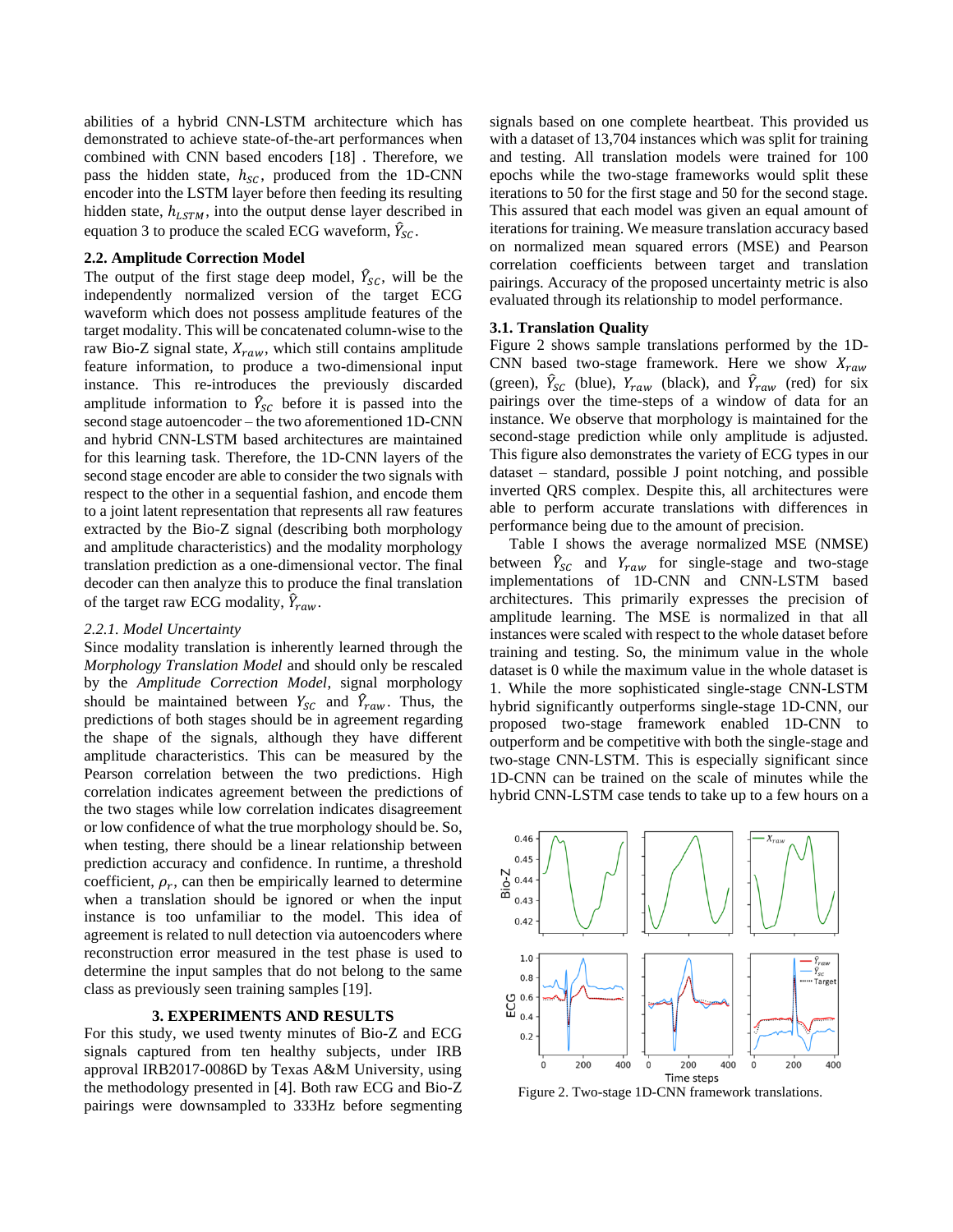abilities of a hybrid CNN-LSTM architecture which has demonstrated to achieve state-of-the-art performances when combined with CNN based encoders [18] . Therefore, we pass the hidden state,  $h_{SC}$ , produced from the 1D-CNN encoder into the LSTM layer before then feeding its resulting hidden state,  $h_{LSTM}$ , into the output dense layer described in equation 3 to produce the scaled ECG waveform,  $\hat{Y}_{SC}$ .

## **2.2. Amplitude Correction Model**

The output of the first stage deep model,  $\hat{Y}_{SC}$ , will be the independently normalized version of the target ECG waveform which does not possess amplitude features of the target modality. This will be concatenated column-wise to the raw Bio-Z signal state,  $X_{raw}$ , which still contains amplitude feature information, to produce a two-dimensional input instance. This re-introduces the previously discarded amplitude information to  $\hat{Y}_{SC}$  before it is passed into the second stage autoencoder – the two aforementioned 1D-CNN and hybrid CNN-LSTM based architectures are maintained for this learning task. Therefore, the 1D-CNN layers of the second stage encoder are able to consider the two signals with respect to the other in a sequential fashion, and encode them to a joint latent representation that represents all raw features extracted by the Bio-Z signal (describing both morphology and amplitude characteristics) and the modality morphology translation prediction as a one-dimensional vector. The final decoder can then analyze this to produce the final translation of the target raw ECG modality,  $\hat{Y}_{raw}$ .

#### *2.2.1. Model Uncertainty*

Since modality translation is inherently learned through the *Morphology Translation Model* and should only be rescaled by the *Amplitude Correction Model*, signal morphology should be maintained between  $Y_{SC}$  and  $\hat{Y}_{raw}$ . Thus, the predictions of both stages should be in agreement regarding the shape of the signals, although they have different amplitude characteristics. This can be measured by the Pearson correlation between the two predictions. High correlation indicates agreement between the predictions of the two stages while low correlation indicates disagreement or low confidence of what the true morphology should be. So, when testing, there should be a linear relationship between prediction accuracy and confidence. In runtime, a threshold coefficient,  $\rho_r$ , can then be empirically learned to determine when a translation should be ignored or when the input instance is too unfamiliar to the model. This idea of agreement is related to null detection via autoencoders where reconstruction error measured in the test phase is used to determine the input samples that do not belong to the same class as previously seen training samples [19].

## **3. EXPERIMENTS AND RESULTS**

For this study, we used twenty minutes of Bio-Z and ECG signals captured from ten healthy subjects, under IRB approval IRB2017-0086D by Texas A&M University, using the methodology presented in [4]. Both raw ECG and Bio-Z pairings were downsampled to 333Hz before segmenting signals based on one complete heartbeat. This provided us with a dataset of 13,704 instances which was split for training and testing. All translation models were trained for 100 epochs while the two-stage frameworks would split these iterations to 50 for the first stage and 50 for the second stage. This assured that each model was given an equal amount of iterations for training. We measure translation accuracy based on normalized mean squared errors (MSE) and Pearson correlation coefficients between target and translation pairings. Accuracy of the proposed uncertainty metric is also evaluated through its relationship to model performance.

## **3.1. Translation Quality**

Figure 2 shows sample translations performed by the 1D-CNN based two-stage framework. Here we show  $X_{raw}$ (green),  $\hat{Y}_{SC}$  (blue),  $Y_{raw}$  (black), and  $\hat{Y}_{raw}$  (red) for six pairings over the time-steps of a window of data for an instance. We observe that morphology is maintained for the second-stage prediction while only amplitude is adjusted. This figure also demonstrates the variety of ECG types in our dataset – standard, possible J point notching, and possible inverted QRS complex. Despite this, all architectures were able to perform accurate translations with differences in performance being due to the amount of precision.

 Table I shows the average normalized MSE (NMSE) between  $\hat{Y}_{SC}$  and  $Y_{raw}$  for single-stage and two-stage implementations of 1D-CNN and CNN-LSTM based architectures. This primarily expresses the precision of amplitude learning. The MSE is normalized in that all instances were scaled with respect to the whole dataset before training and testing. So, the minimum value in the whole dataset is 0 while the maximum value in the whole dataset is 1. While the more sophisticated single-stage CNN-LSTM hybrid significantly outperforms single-stage 1D-CNN, our proposed two-stage framework enabled 1D-CNN to outperform and be competitive with both the single-stage and two-stage CNN-LSTM. This is especially significant since 1D-CNN can be trained on the scale of minutes while the hybrid CNN-LSTM case tends to take up to a few hours on a



Figure 2. Two-stage 1D-CNN framework translations.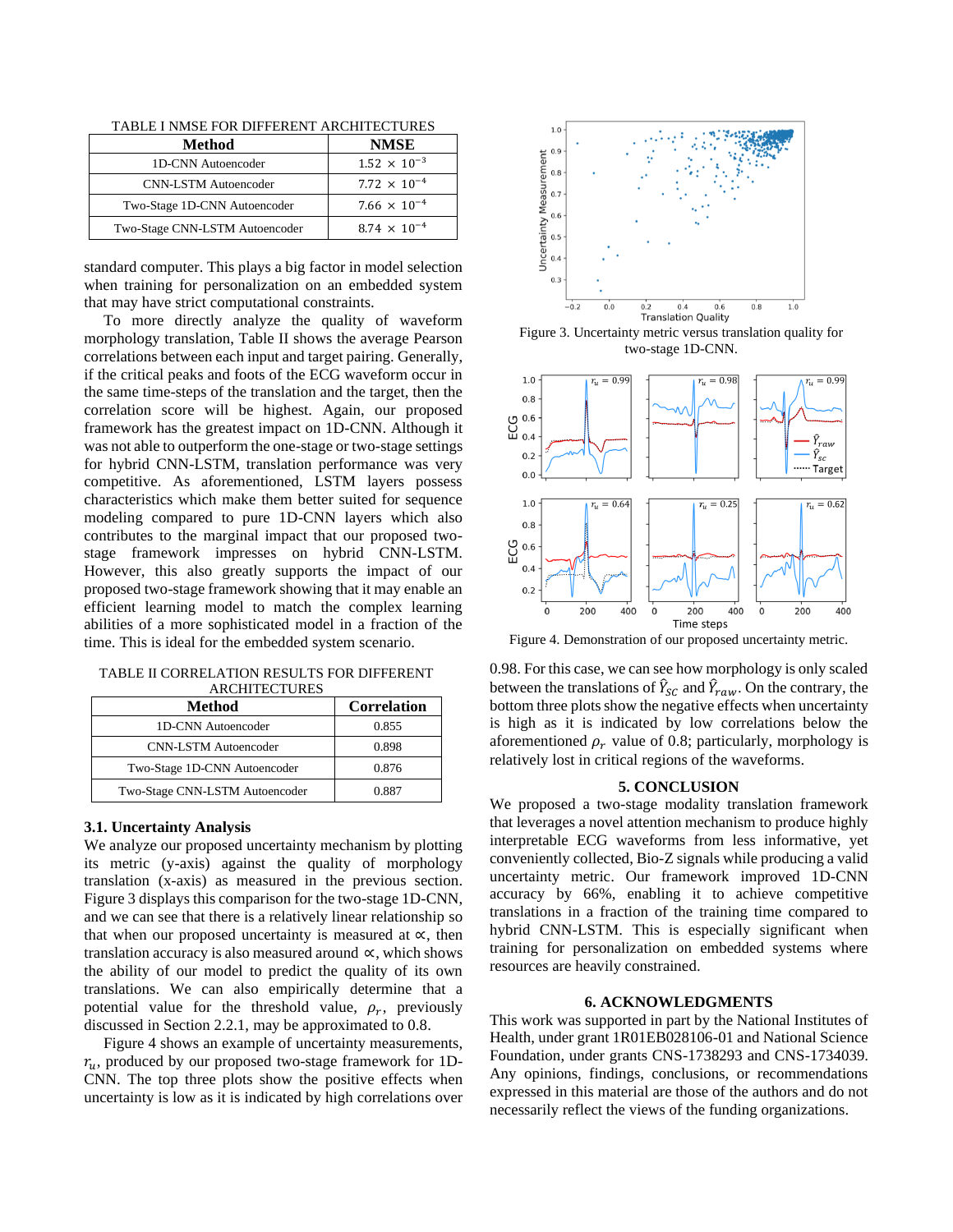| Method                         | <b>NMSE</b>           |
|--------------------------------|-----------------------|
| 1D-CNN Autoencoder             | $1.52 \times 10^{-3}$ |
| <b>CNN-LSTM</b> Autoencoder    | $7.72 \times 10^{-4}$ |
| Two-Stage 1D-CNN Autoencoder   | $7.66 \times 10^{-4}$ |
| Two-Stage CNN-LSTM Autoencoder | $8.74 \times 10^{-4}$ |

standard computer. This plays a big factor in model selection when training for personalization on an embedded system that may have strict computational constraints.

 To more directly analyze the quality of waveform morphology translation, Table II shows the average Pearson correlations between each input and target pairing. Generally, if the critical peaks and foots of the ECG waveform occur in the same time-steps of the translation and the target, then the correlation score will be highest. Again, our proposed framework has the greatest impact on 1D-CNN. Although it was not able to outperform the one-stage or two-stage settings for hybrid CNN-LSTM, translation performance was very competitive. As aforementioned, LSTM layers possess characteristics which make them better suited for sequence modeling compared to pure 1D-CNN layers which also contributes to the marginal impact that our proposed twostage framework impresses on hybrid CNN-LSTM. However, this also greatly supports the impact of our proposed two-stage framework showing that it may enable an efficient learning model to match the complex learning abilities of a more sophisticated model in a fraction of the time. This is ideal for the embedded system scenario.

TABLE II CORRELATION RESULTS FOR DIFFERENT ARCHITECTURES

| Method                         | <b>Correlation</b> |
|--------------------------------|--------------------|
| 1D-CNN Autoencoder             | 0.855              |
| <b>CNN-LSTM</b> Autoencoder    | 0.898              |
| Two-Stage 1D-CNN Autoencoder   | 0.876              |
| Two-Stage CNN-LSTM Autoencoder | 0.887              |

# **3.1. Uncertainty Analysis**

We analyze our proposed uncertainty mechanism by plotting its metric (y-axis) against the quality of morphology translation (x-axis) as measured in the previous section. Figure 3 displays this comparison for the two-stage 1D-CNN, and we can see that there is a relatively linear relationship so that when our proposed uncertainty is measured at  $\alpha$ , then translation accuracy is also measured around  $\propto$ , which shows the ability of our model to predict the quality of its own translations. We can also empirically determine that a potential value for the threshold value,  $\rho_r$ , previously discussed in Section 2.2.1, may be approximated to 0.8.

 Figure 4 shows an example of uncertainty measurements,  $r_{\nu}$ , produced by our proposed two-stage framework for 1D-CNN. The top three plots show the positive effects when uncertainty is low as it is indicated by high correlations over



Figure 3. Uncertainty metric versus translation quality for two-stage 1D-CNN.



Figure 4. Demonstration of our proposed uncertainty metric.

0.98. For this case, we can see how morphology is only scaled between the translations of  $\hat{Y}_{sc}$  and  $\hat{Y}_{raw}$ . On the contrary, the bottom three plots show the negative effects when uncertainty is high as it is indicated by low correlations below the aforementioned  $\rho_r$  value of 0.8; particularly, morphology is relatively lost in critical regions of the waveforms.

#### **5. CONCLUSION**

We proposed a two-stage modality translation framework that leverages a novel attention mechanism to produce highly interpretable ECG waveforms from less informative, yet conveniently collected, Bio-Z signals while producing a valid uncertainty metric. Our framework improved 1D-CNN accuracy by 66%, enabling it to achieve competitive translations in a fraction of the training time compared to hybrid CNN-LSTM. This is especially significant when training for personalization on embedded systems where resources are heavily constrained.

## **6. ACKNOWLEDGMENTS**

This work was supported in part by the National Institutes of Health, under grant 1R01EB028106-01 and National Science Foundation, under grants CNS-1738293 and CNS-1734039. Any opinions, findings, conclusions, or recommendations expressed in this material are those of the authors and do not necessarily reflect the views of the funding organizations.